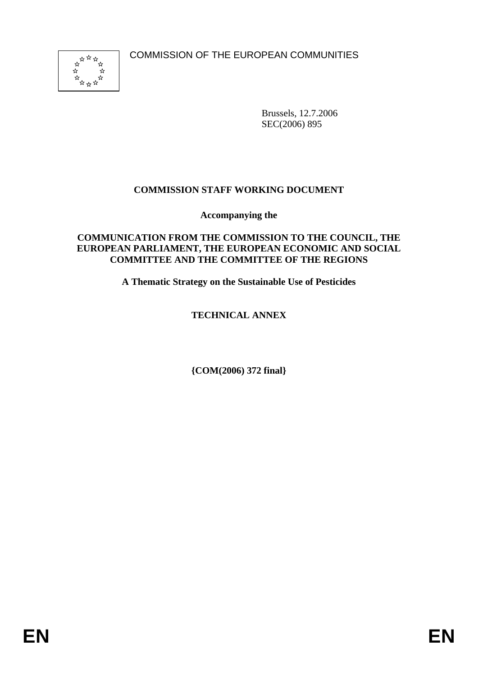COMMISSION OF THE EUROPEAN COMMUNITIES



Brussels, 12.7.2006 SEC(2006) 895

### **COMMISSION STAFF WORKING DOCUMENT**

**Accompanying the** 

#### **COMMUNICATION FROM THE COMMISSION TO THE COUNCIL, THE EUROPEAN PARLIAMENT, THE EUROPEAN ECONOMIC AND SOCIAL COMMITTEE AND THE COMMITTEE OF THE REGIONS**

**A Thematic Strategy on the Sustainable Use of Pesticides** 

# **TECHNICAL ANNEX**

**{COM(2006) 372 final}**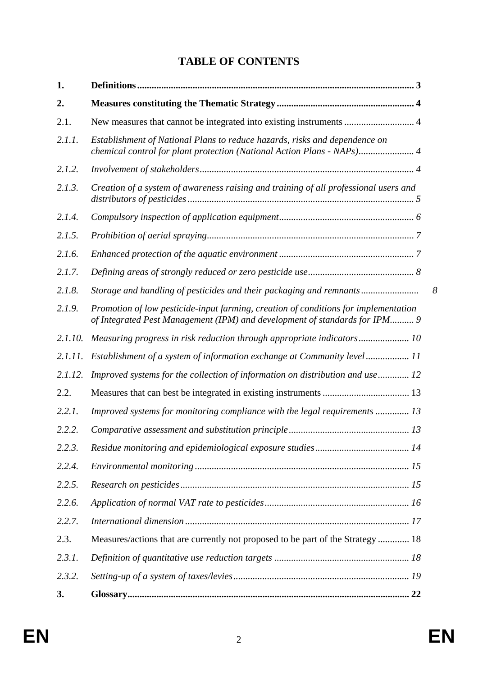# **TABLE OF CONTENTS**

| 1.      |                                                                                                                                                                   |  |
|---------|-------------------------------------------------------------------------------------------------------------------------------------------------------------------|--|
| 2.      |                                                                                                                                                                   |  |
| 2.1.    | New measures that cannot be integrated into existing instruments  4                                                                                               |  |
| 2.1.1.  | Establishment of National Plans to reduce hazards, risks and dependence on<br>chemical control for plant protection (National Action Plans - NAPs) 4              |  |
| 2.1.2.  |                                                                                                                                                                   |  |
| 2.1.3.  | Creation of a system of awareness raising and training of all professional users and                                                                              |  |
| 2.1.4.  |                                                                                                                                                                   |  |
| 2.1.5.  |                                                                                                                                                                   |  |
| 2.1.6.  |                                                                                                                                                                   |  |
| 2.1.7.  |                                                                                                                                                                   |  |
| 2.1.8.  | Storage and handling of pesticides and their packaging and remnants<br>8                                                                                          |  |
| 2.1.9.  | Promotion of low pesticide-input farming, creation of conditions for implementation<br>of Integrated Pest Management (IPM) and development of standards for IPM 9 |  |
| 2.1.10. | Measuring progress in risk reduction through appropriate indicators 10                                                                                            |  |
| 2.1.11. | Establishment of a system of information exchange at Community level 11                                                                                           |  |
| 2.1.12. | Improved systems for the collection of information on distribution and use 12                                                                                     |  |
| 2.2.    |                                                                                                                                                                   |  |
| 2.2.1.  | Improved systems for monitoring compliance with the legal requirements  13                                                                                        |  |
| 2.2.2.  |                                                                                                                                                                   |  |
| 2.2.3.  |                                                                                                                                                                   |  |
| 2.2.4.  |                                                                                                                                                                   |  |
| 2.2.5.  |                                                                                                                                                                   |  |
| 2.2.6.  |                                                                                                                                                                   |  |
| 2.2.7.  |                                                                                                                                                                   |  |
| 2.3.    | Measures/actions that are currently not proposed to be part of the Strategy  18                                                                                   |  |
| 2.3.1.  |                                                                                                                                                                   |  |
| 2.3.2.  |                                                                                                                                                                   |  |
| 3.      |                                                                                                                                                                   |  |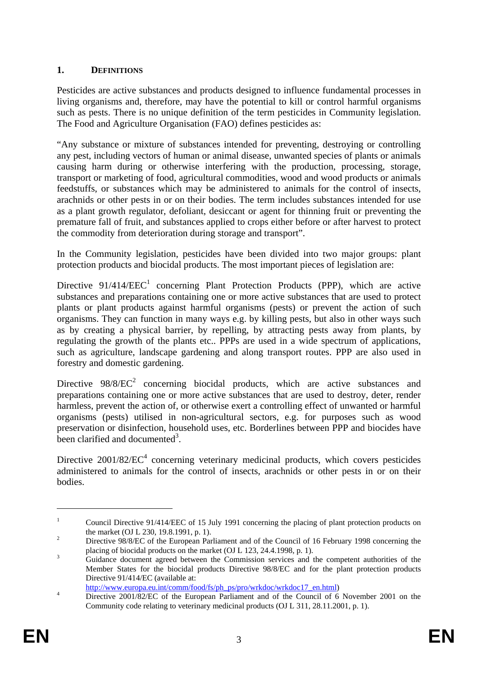### **1. DEFINITIONS**

Pesticides are active substances and products designed to influence fundamental processes in living organisms and, therefore, may have the potential to kill or control harmful organisms such as pests. There is no unique definition of the term pesticides in Community legislation. The Food and Agriculture Organisation (FAO) defines pesticides as:

"Any substance or mixture of substances intended for preventing, destroying or controlling any pest, including vectors of human or animal disease, unwanted species of plants or animals causing harm during or otherwise interfering with the production, processing, storage, transport or marketing of food, agricultural commodities, wood and wood products or animals feedstuffs, or substances which may be administered to animals for the control of insects, arachnids or other pests in or on their bodies. The term includes substances intended for use as a plant growth regulator, defoliant, desiccant or agent for thinning fruit or preventing the premature fall of fruit, and substances applied to crops either before or after harvest to protect the commodity from deterioration during storage and transport".

In the Community legislation, pesticides have been divided into two major groups: plant protection products and biocidal products. The most important pieces of legislation are:

Directive  $91/414/EEC<sup>1</sup>$  concerning Plant Protection Products (PPP), which are active substances and preparations containing one or more active substances that are used to protect plants or plant products against harmful organisms (pests) or prevent the action of such organisms. They can function in many ways e.g. by killing pests, but also in other ways such as by creating a physical barrier, by repelling, by attracting pests away from plants, by regulating the growth of the plants etc.. PPPs are used in a wide spectrum of applications, such as agriculture, landscape gardening and along transport routes. PPP are also used in forestry and domestic gardening.

Directive  $98/8/EC^2$  concerning biocidal products, which are active substances and preparations containing one or more active substances that are used to destroy, deter, render harmless, prevent the action of, or otherwise exert a controlling effect of unwanted or harmful organisms (pests) utilised in non-agricultural sectors, e.g. for purposes such as wood preservation or disinfection, household uses, etc. Borderlines between PPP and biocides have been clarified and documented<sup>3</sup>.

Directive  $2001/82/EC^4$  concerning veterinary medicinal products, which covers pesticides administered to animals for the control of insects, arachnids or other pests in or on their bodies.

http://www.europa.eu.int/comm/food/fs/ph\_ps/pro/wrkdoc/wrkdoc17\_en.html)

<u>.</u>

<sup>1</sup> Council Directive 91/414/EEC of 15 July 1991 concerning the placing of plant protection products on the market (OJ L 230, 19.8.1991, p. 1).

Directive 98/8/EC of the European Parliament and of the Council of 16 February 1998 concerning the placing of biocidal products on the market (OJ L 123, 24.4.1998, p. 1).

Guidance document agreed between the Commission services and the competent authorities of the Member States for the biocidal products Directive 98/8/EC and for the plant protection products Directive 91/414/EC (available at:

Directive 2001/82/EC of the European Parliament and of the Council of 6 November 2001 on the Community code relating to veterinary medicinal products (OJ L 311, 28.11.2001, p. 1).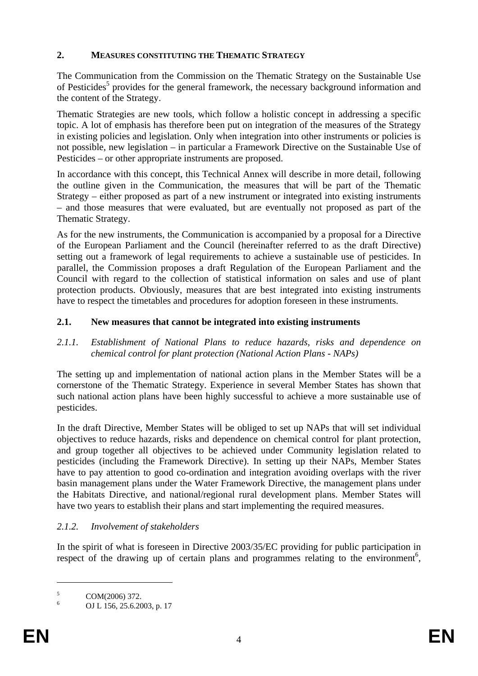#### **2. MEASURES CONSTITUTING THE THEMATIC STRATEGY**

The Communication from the Commission on the Thematic Strategy on the Sustainable Use of Pesticides<sup>5</sup> provides for the general framework, the necessary background information and the content of the Strategy.

Thematic Strategies are new tools, which follow a holistic concept in addressing a specific topic. A lot of emphasis has therefore been put on integration of the measures of the Strategy in existing policies and legislation. Only when integration into other instruments or policies is not possible, new legislation – in particular a Framework Directive on the Sustainable Use of Pesticides – or other appropriate instruments are proposed.

In accordance with this concept, this Technical Annex will describe in more detail, following the outline given in the Communication, the measures that will be part of the Thematic Strategy – either proposed as part of a new instrument or integrated into existing instruments – and those measures that were evaluated, but are eventually not proposed as part of the Thematic Strategy.

As for the new instruments, the Communication is accompanied by a proposal for a Directive of the European Parliament and the Council (hereinafter referred to as the draft Directive) setting out a framework of legal requirements to achieve a sustainable use of pesticides. In parallel, the Commission proposes a draft Regulation of the European Parliament and the Council with regard to the collection of statistical information on sales and use of plant protection products. Obviously, measures that are best integrated into existing instruments have to respect the timetables and procedures for adoption foreseen in these instruments.

#### **2.1. New measures that cannot be integrated into existing instruments**

*2.1.1. Establishment of National Plans to reduce hazards, risks and dependence on chemical control for plant protection (National Action Plans - NAPs)* 

The setting up and implementation of national action plans in the Member States will be a cornerstone of the Thematic Strategy. Experience in several Member States has shown that such national action plans have been highly successful to achieve a more sustainable use of pesticides.

In the draft Directive, Member States will be obliged to set up NAPs that will set individual objectives to reduce hazards, risks and dependence on chemical control for plant protection, and group together all objectives to be achieved under Community legislation related to pesticides (including the Framework Directive). In setting up their NAPs, Member States have to pay attention to good co-ordination and integration avoiding overlaps with the river basin management plans under the Water Framework Directive, the management plans under the Habitats Directive, and national/regional rural development plans. Member States will have two years to establish their plans and start implementing the required measures.

### *2.1.2. Involvement of stakeholders*

In the spirit of what is foreseen in Directive 2003/35/EC providing for public participation in respect of the drawing up of certain plans and programmes relating to the environment<sup>6</sup>,

<sup>5</sup> COM(2006) 372.

<sup>6</sup> OJ L 156, 25.6.2003, p. 17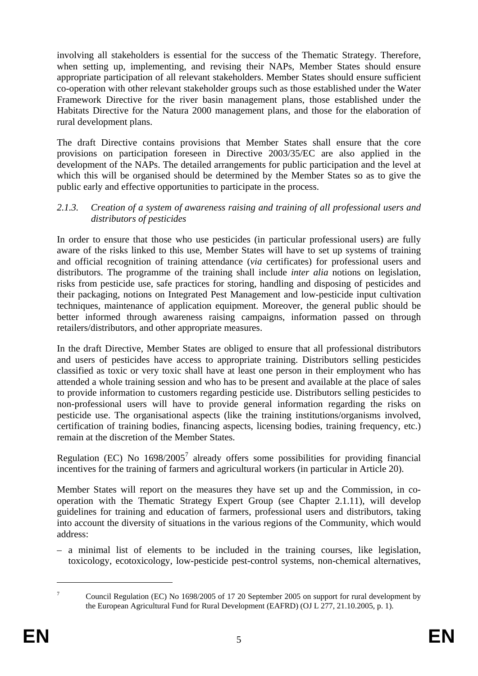involving all stakeholders is essential for the success of the Thematic Strategy. Therefore, when setting up, implementing, and revising their NAPs, Member States should ensure appropriate participation of all relevant stakeholders. Member States should ensure sufficient co-operation with other relevant stakeholder groups such as those established under the Water Framework Directive for the river basin management plans, those established under the Habitats Directive for the Natura 2000 management plans, and those for the elaboration of rural development plans.

The draft Directive contains provisions that Member States shall ensure that the core provisions on participation foreseen in Directive 2003/35/EC are also applied in the development of the NAPs. The detailed arrangements for public participation and the level at which this will be organised should be determined by the Member States so as to give the public early and effective opportunities to participate in the process.

#### *2.1.3. Creation of a system of awareness raising and training of all professional users and distributors of pesticides*

In order to ensure that those who use pesticides (in particular professional users) are fully aware of the risks linked to this use, Member States will have to set up systems of training and official recognition of training attendance (*via* certificates) for professional users and distributors. The programme of the training shall include *inter alia* notions on legislation, risks from pesticide use, safe practices for storing, handling and disposing of pesticides and their packaging, notions on Integrated Pest Management and low-pesticide input cultivation techniques, maintenance of application equipment. Moreover, the general public should be better informed through awareness raising campaigns, information passed on through retailers/distributors, and other appropriate measures.

In the draft Directive, Member States are obliged to ensure that all professional distributors and users of pesticides have access to appropriate training. Distributors selling pesticides classified as toxic or very toxic shall have at least one person in their employment who has attended a whole training session and who has to be present and available at the place of sales to provide information to customers regarding pesticide use. Distributors selling pesticides to non-professional users will have to provide general information regarding the risks on pesticide use. The organisational aspects (like the training institutions/organisms involved, certification of training bodies, financing aspects, licensing bodies, training frequency, etc.) remain at the discretion of the Member States.

Regulation (EC) No  $1698/2005<sup>7</sup>$  already offers some possibilities for providing financial incentives for the training of farmers and agricultural workers (in particular in Article 20).

Member States will report on the measures they have set up and the Commission, in cooperation with the Thematic Strategy Expert Group (see Chapter 2.1.11), will develop guidelines for training and education of farmers, professional users and distributors, taking into account the diversity of situations in the various regions of the Community, which would address:

– a minimal list of elements to be included in the training courses, like legislation, toxicology, ecotoxicology, low-pesticide pest-control systems, non-chemical alternatives,

Council Regulation (EC) No 1698/2005 of 17 20 September 2005 on support for rural development by the European Agricultural Fund for Rural Development (EAFRD) (OJ L 277, 21.10.2005, p. 1).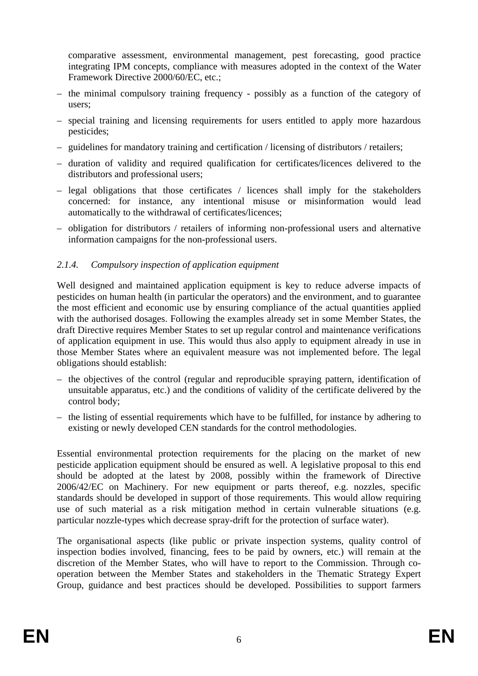comparative assessment, environmental management, pest forecasting, good practice integrating IPM concepts, compliance with measures adopted in the context of the Water Framework Directive 2000/60/EC, etc.;

- the minimal compulsory training frequency possibly as a function of the category of users;
- special training and licensing requirements for users entitled to apply more hazardous pesticides;
- guidelines for mandatory training and certification / licensing of distributors / retailers;
- duration of validity and required qualification for certificates/licences delivered to the distributors and professional users;
- legal obligations that those certificates / licences shall imply for the stakeholders concerned: for instance, any intentional misuse or misinformation would lead automatically to the withdrawal of certificates/licences;
- obligation for distributors / retailers of informing non-professional users and alternative information campaigns for the non-professional users.

### *2.1.4. Compulsory inspection of application equipment*

Well designed and maintained application equipment is key to reduce adverse impacts of pesticides on human health (in particular the operators) and the environment, and to guarantee the most efficient and economic use by ensuring compliance of the actual quantities applied with the authorised dosages. Following the examples already set in some Member States, the draft Directive requires Member States to set up regular control and maintenance verifications of application equipment in use. This would thus also apply to equipment already in use in those Member States where an equivalent measure was not implemented before. The legal obligations should establish:

- the objectives of the control (regular and reproducible spraying pattern, identification of unsuitable apparatus, etc.) and the conditions of validity of the certificate delivered by the control body;
- the listing of essential requirements which have to be fulfilled, for instance by adhering to existing or newly developed CEN standards for the control methodologies.

Essential environmental protection requirements for the placing on the market of new pesticide application equipment should be ensured as well. A legislative proposal to this end should be adopted at the latest by 2008, possibly within the framework of Directive 2006/42/EC on Machinery. For new equipment or parts thereof, e.g. nozzles, specific standards should be developed in support of those requirements. This would allow requiring use of such material as a risk mitigation method in certain vulnerable situations (e.g. particular nozzle-types which decrease spray-drift for the protection of surface water).

The organisational aspects (like public or private inspection systems, quality control of inspection bodies involved, financing, fees to be paid by owners, etc.) will remain at the discretion of the Member States, who will have to report to the Commission. Through cooperation between the Member States and stakeholders in the Thematic Strategy Expert Group, guidance and best practices should be developed. Possibilities to support farmers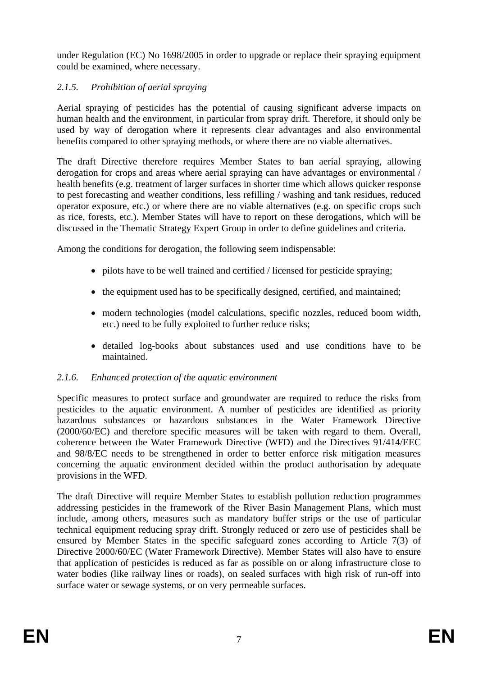under Regulation (EC) No 1698/2005 in order to upgrade or replace their spraying equipment could be examined, where necessary.

# *2.1.5. Prohibition of aerial spraying*

Aerial spraying of pesticides has the potential of causing significant adverse impacts on human health and the environment, in particular from spray drift. Therefore, it should only be used by way of derogation where it represents clear advantages and also environmental benefits compared to other spraying methods, or where there are no viable alternatives.

The draft Directive therefore requires Member States to ban aerial spraying, allowing derogation for crops and areas where aerial spraying can have advantages or environmental / health benefits (e.g. treatment of larger surfaces in shorter time which allows quicker response to pest forecasting and weather conditions, less refilling / washing and tank residues, reduced operator exposure, etc.) or where there are no viable alternatives (e.g. on specific crops such as rice, forests, etc.). Member States will have to report on these derogations, which will be discussed in the Thematic Strategy Expert Group in order to define guidelines and criteria.

Among the conditions for derogation, the following seem indispensable:

- pilots have to be well trained and certified / licensed for pesticide spraying;
- the equipment used has to be specifically designed, certified, and maintained;
- modern technologies (model calculations, specific nozzles, reduced boom width, etc.) need to be fully exploited to further reduce risks;
- detailed log-books about substances used and use conditions have to be maintained.

### *2.1.6. Enhanced protection of the aquatic environment*

Specific measures to protect surface and groundwater are required to reduce the risks from pesticides to the aquatic environment. A number of pesticides are identified as priority hazardous substances or hazardous substances in the Water Framework Directive (2000/60/EC) and therefore specific measures will be taken with regard to them. Overall, coherence between the Water Framework Directive (WFD) and the Directives 91/414/EEC and 98/8/EC needs to be strengthened in order to better enforce risk mitigation measures concerning the aquatic environment decided within the product authorisation by adequate provisions in the WFD.

The draft Directive will require Member States to establish pollution reduction programmes addressing pesticides in the framework of the River Basin Management Plans, which must include, among others, measures such as mandatory buffer strips or the use of particular technical equipment reducing spray drift. Strongly reduced or zero use of pesticides shall be ensured by Member States in the specific safeguard zones according to Article 7(3) of Directive 2000/60/EC (Water Framework Directive). Member States will also have to ensure that application of pesticides is reduced as far as possible on or along infrastructure close to water bodies (like railway lines or roads), on sealed surfaces with high risk of run-off into surface water or sewage systems, or on very permeable surfaces.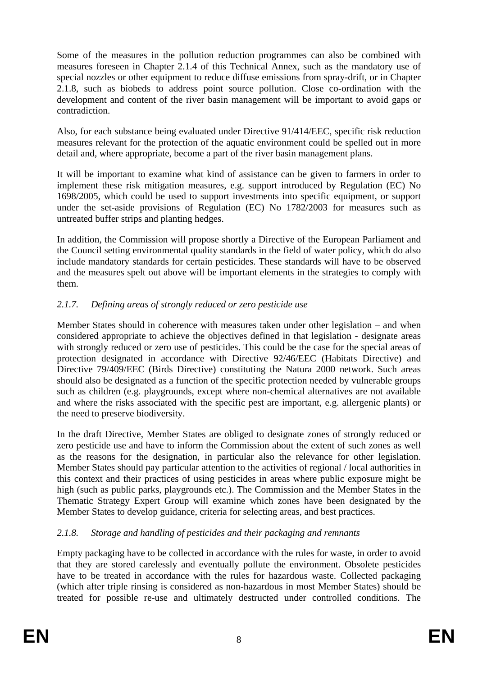Some of the measures in the pollution reduction programmes can also be combined with measures foreseen in Chapter 2.1.4 of this Technical Annex, such as the mandatory use of special nozzles or other equipment to reduce diffuse emissions from spray-drift, or in Chapter 2.1.8, such as biobeds to address point source pollution. Close co-ordination with the development and content of the river basin management will be important to avoid gaps or contradiction.

Also, for each substance being evaluated under Directive 91/414/EEC, specific risk reduction measures relevant for the protection of the aquatic environment could be spelled out in more detail and, where appropriate, become a part of the river basin management plans.

It will be important to examine what kind of assistance can be given to farmers in order to implement these risk mitigation measures, e.g. support introduced by Regulation (EC) No 1698/2005, which could be used to support investments into specific equipment, or support under the set-aside provisions of Regulation (EC) No 1782/2003 for measures such as untreated buffer strips and planting hedges.

In addition, the Commission will propose shortly a Directive of the European Parliament and the Council setting environmental quality standards in the field of water policy, which do also include mandatory standards for certain pesticides. These standards will have to be observed and the measures spelt out above will be important elements in the strategies to comply with them.

# *2.1.7. Defining areas of strongly reduced or zero pesticide use*

Member States should in coherence with measures taken under other legislation – and when considered appropriate to achieve the objectives defined in that legislation - designate areas with strongly reduced or zero use of pesticides. This could be the case for the special areas of protection designated in accordance with Directive 92/46/EEC (Habitats Directive) and Directive 79/409/EEC (Birds Directive) constituting the Natura 2000 network. Such areas should also be designated as a function of the specific protection needed by vulnerable groups such as children (e.g. playgrounds, except where non-chemical alternatives are not available and where the risks associated with the specific pest are important, e.g. allergenic plants) or the need to preserve biodiversity.

In the draft Directive, Member States are obliged to designate zones of strongly reduced or zero pesticide use and have to inform the Commission about the extent of such zones as well as the reasons for the designation, in particular also the relevance for other legislation. Member States should pay particular attention to the activities of regional / local authorities in this context and their practices of using pesticides in areas where public exposure might be high (such as public parks, playgrounds etc.). The Commission and the Member States in the Thematic Strategy Expert Group will examine which zones have been designated by the Member States to develop guidance, criteria for selecting areas, and best practices.

# *2.1.8. Storage and handling of pesticides and their packaging and remnants*

Empty packaging have to be collected in accordance with the rules for waste, in order to avoid that they are stored carelessly and eventually pollute the environment. Obsolete pesticides have to be treated in accordance with the rules for hazardous waste. Collected packaging (which after triple rinsing is considered as non-hazardous in most Member States) should be treated for possible re-use and ultimately destructed under controlled conditions. The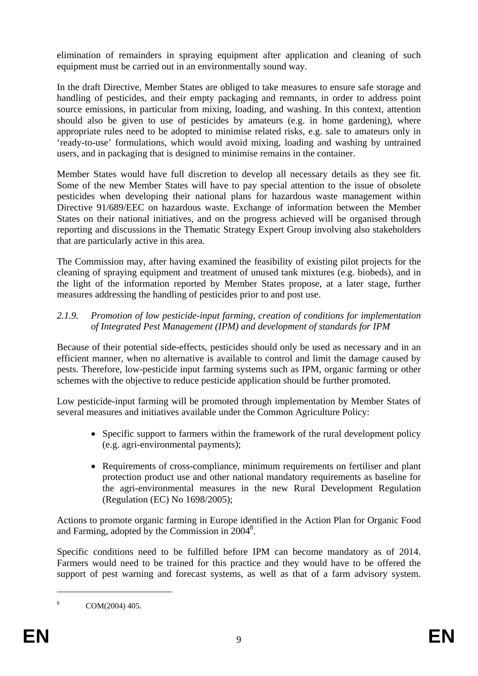elimination of remainders in spraying equipment after application and cleaning of such equipment must be carried out in an environmentally sound way.

In the draft Directive, Member States are obliged to take measures to ensure safe storage and handling of pesticides, and their empty packaging and remnants, in order to address point source emissions, in particular from mixing, loading, and washing. In this context, attention should also be given to use of pesticides by amateurs (e.g. in home gardening), where appropriate rules need to be adopted to minimise related risks, e.g. sale to amateurs only in 'ready-to-use' formulations, which would avoid mixing, loading and washing by untrained users, and in packaging that is designed to minimise remains in the container.

Member States would have full discretion to develop all necessary details as they see fit. Some of the new Member States will have to pay special attention to the issue of obsolete pesticides when developing their national plans for hazardous waste management within Directive 91/689/EEC on hazardous waste. Exchange of information between the Member States on their national initiatives, and on the progress achieved will be organised through reporting and discussions in the Thematic Strategy Expert Group involving also stakeholders that are particularly active in this area.

The Commission may, after having examined the feasibility of existing pilot projects for the cleaning of spraying equipment and treatment of unused tank mixtures (e.g. biobeds), and in the light of the information reported by Member States propose, at a later stage, further measures addressing the handling of pesticides prior to and post use.

### *2.1.9. Promotion of low pesticide-input farming, creation of conditions for implementation of Integrated Pest Management (IPM) and development of standards for IPM*

Because of their potential side-effects, pesticides should only be used as necessary and in an efficient manner, when no alternative is available to control and limit the damage caused by pests. Therefore, low-pesticide input farming systems such as IPM, organic farming or other schemes with the objective to reduce pesticide application should be further promoted.

Low pesticide-input farming will be promoted through implementation by Member States of several measures and initiatives available under the Common Agriculture Policy:

- Specific support to farmers within the framework of the rural development policy (e.g. agri-environmental payments);
- Requirements of cross-compliance, minimum requirements on fertiliser and plant protection product use and other national mandatory requirements as baseline for the agri-environmental measures in the new Rural Development Regulation (Regulation (EC) No 1698/2005);

Actions to promote organic farming in Europe identified in the Action Plan for Organic Food and Farming, adopted by the Commission in 2004<sup>8</sup>.

Specific conditions need to be fulfilled before IPM can become mandatory as of 2014. Farmers would need to be trained for this practice and they would have to be offered the support of pest warning and forecast systems, as well as that of a farm advisory system.

<sup>8</sup> COM(2004) 405.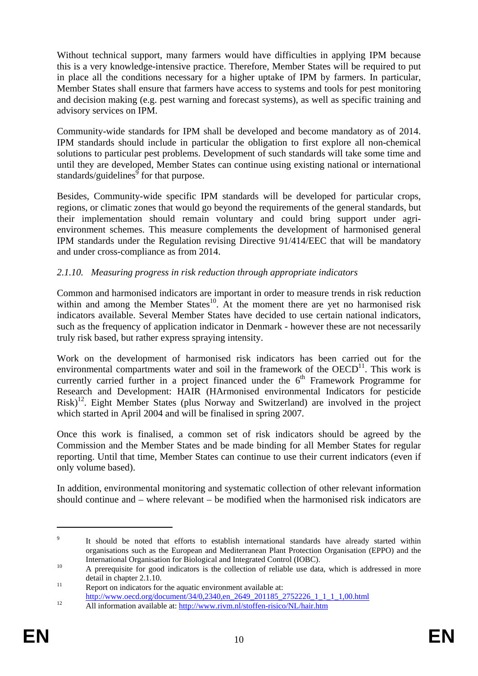Without technical support, many farmers would have difficulties in applying IPM because this is a very knowledge-intensive practice. Therefore, Member States will be required to put in place all the conditions necessary for a higher uptake of IPM by farmers. In particular, Member States shall ensure that farmers have access to systems and tools for pest monitoring and decision making (e.g. pest warning and forecast systems), as well as specific training and advisory services on IPM.

Community-wide standards for IPM shall be developed and become mandatory as of 2014. IPM standards should include in particular the obligation to first explore all non-chemical solutions to particular pest problems. Development of such standards will take some time and until they are developed, Member States can continue using existing national or international standards/guidelines<sup>9</sup> for that purpose.

Besides, Community-wide specific IPM standards will be developed for particular crops, regions, or climatic zones that would go beyond the requirements of the general standards, but their implementation should remain voluntary and could bring support under agrienvironment schemes. This measure complements the development of harmonised general IPM standards under the Regulation revising Directive 91/414/EEC that will be mandatory and under cross-compliance as from 2014.

### *2.1.10. Measuring progress in risk reduction through appropriate indicators*

Common and harmonised indicators are important in order to measure trends in risk reduction within and among the Member States<sup>10</sup>. At the moment there are yet no harmonised risk indicators available. Several Member States have decided to use certain national indicators, such as the frequency of application indicator in Denmark - however these are not necessarily truly risk based, but rather express spraying intensity.

Work on the development of harmonised risk indicators has been carried out for the environmental compartments water and soil in the framework of the  $OECD<sup>11</sup>$ . This work is currently carried further in a project financed under the  $6<sup>th</sup>$  Framework Programme for Research and Development: HAIR (HArmonised environmental Indicators for pesticide Risk)12. Eight Member States (plus Norway and Switzerland) are involved in the project which started in April 2004 and will be finalised in spring 2007.

Once this work is finalised, a common set of risk indicators should be agreed by the Commission and the Member States and be made binding for all Member States for regular reporting. Until that time, Member States can continue to use their current indicators (even if only volume based).

In addition, environmental monitoring and systematic collection of other relevant information should continue and – where relevant – be modified when the harmonised risk indicators are

<sup>9</sup> It should be noted that efforts to establish international standards have already started within organisations such as the European and Mediterranean Plant Protection Organisation (EPPO) and the International Organisation for Biological and Integrated Control (IOBC).<br>A prerequisite for good indicators is the collection of reliable use data, which is addressed in more

detail in chapter 2.1.10.<br>
Report on indicators for the aquatic environment available at:

http://www.oecd.org/document/34/0,2340,en\_2649\_201185\_2752226\_1\_1\_1\_1,00.html<br>All information available at: http://www.rivm.nl/stoffen-risico/NL/hair.htm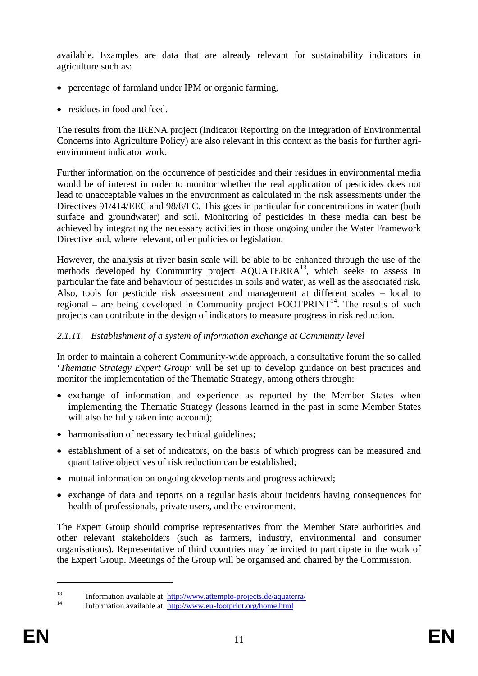available. Examples are data that are already relevant for sustainability indicators in agriculture such as:

- percentage of farmland under IPM or organic farming,
- residues in food and feed.

The results from the IRENA project (Indicator Reporting on the Integration of Environmental Concerns into Agriculture Policy) are also relevant in this context as the basis for further agrienvironment indicator work.

Further information on the occurrence of pesticides and their residues in environmental media would be of interest in order to monitor whether the real application of pesticides does not lead to unacceptable values in the environment as calculated in the risk assessments under the Directives 91/414/EEC and 98/8/EC. This goes in particular for concentrations in water (both surface and groundwater) and soil. Monitoring of pesticides in these media can best be achieved by integrating the necessary activities in those ongoing under the Water Framework Directive and, where relevant, other policies or legislation.

However, the analysis at river basin scale will be able to be enhanced through the use of the methods developed by Community project AQUATERRA<sup>13</sup>, which seeks to assess in particular the fate and behaviour of pesticides in soils and water, as well as the associated risk. Also, tools for pesticide risk assessment and management at different scales – local to regional – are being developed in Community project  $FOOTPRINT<sup>14</sup>$ . The results of such projects can contribute in the design of indicators to measure progress in risk reduction.

# *2.1.11. Establishment of a system of information exchange at Community level*

In order to maintain a coherent Community-wide approach, a consultative forum the so called '*Thematic Strategy Expert Group*' will be set up to develop guidance on best practices and monitor the implementation of the Thematic Strategy, among others through:

- exchange of information and experience as reported by the Member States when implementing the Thematic Strategy (lessons learned in the past in some Member States will also be fully taken into account);
- harmonisation of necessary technical guidelines;
- establishment of a set of indicators, on the basis of which progress can be measured and quantitative objectives of risk reduction can be established;
- mutual information on ongoing developments and progress achieved;
- exchange of data and reports on a regular basis about incidents having consequences for health of professionals, private users, and the environment.

The Expert Group should comprise representatives from the Member State authorities and other relevant stakeholders (such as farmers, industry, environmental and consumer organisations). Representative of third countries may be invited to participate in the work of the Expert Group. Meetings of the Group will be organised and chaired by the Commission.

<sup>13</sup> Information available at:  $\frac{http://www.attention-projects.de/aquatern/14}$  Information available at: http://www.eu-footprint.org/home.html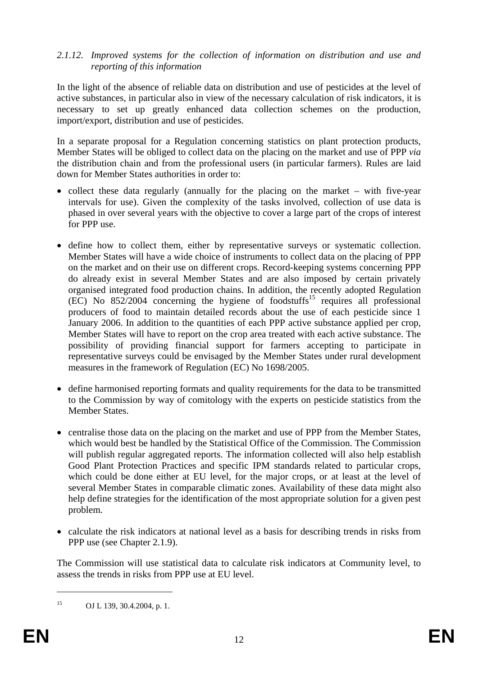### *2.1.12. Improved systems for the collection of information on distribution and use and reporting of this information*

In the light of the absence of reliable data on distribution and use of pesticides at the level of active substances, in particular also in view of the necessary calculation of risk indicators, it is necessary to set up greatly enhanced data collection schemes on the production, import/export, distribution and use of pesticides.

In a separate proposal for a Regulation concerning statistics on plant protection products, Member States will be obliged to collect data on the placing on the market and use of PPP *via* the distribution chain and from the professional users (in particular farmers). Rules are laid down for Member States authorities in order to:

- collect these data regularly (annually for the placing on the market with five-year intervals for use). Given the complexity of the tasks involved, collection of use data is phased in over several years with the objective to cover a large part of the crops of interest for PPP use.
- define how to collect them, either by representative surveys or systematic collection. Member States will have a wide choice of instruments to collect data on the placing of PPP on the market and on their use on different crops. Record-keeping systems concerning PPP do already exist in several Member States and are also imposed by certain privately organised integrated food production chains. In addition, the recently adopted Regulation  $(EC)$  No  $852/2004$  concerning the hygiene of foodstuffs<sup>15</sup> requires all professional producers of food to maintain detailed records about the use of each pesticide since 1 January 2006. In addition to the quantities of each PPP active substance applied per crop, Member States will have to report on the crop area treated with each active substance. The possibility of providing financial support for farmers accepting to participate in representative surveys could be envisaged by the Member States under rural development measures in the framework of Regulation (EC) No 1698/2005.
- define harmonised reporting formats and quality requirements for the data to be transmitted to the Commission by way of comitology with the experts on pesticide statistics from the Member States.
- centralise those data on the placing on the market and use of PPP from the Member States, which would best be handled by the Statistical Office of the Commission. The Commission will publish regular aggregated reports. The information collected will also help establish Good Plant Protection Practices and specific IPM standards related to particular crops, which could be done either at EU level, for the major crops, or at least at the level of several Member States in comparable climatic zones. Availability of these data might also help define strategies for the identification of the most appropriate solution for a given pest problem.
- calculate the risk indicators at national level as a basis for describing trends in risks from PPP use (see Chapter 2.1.9).

The Commission will use statistical data to calculate risk indicators at Community level, to assess the trends in risks from PPP use at EU level.

<sup>15</sup> OJ L 139, 30.4.2004, p. 1.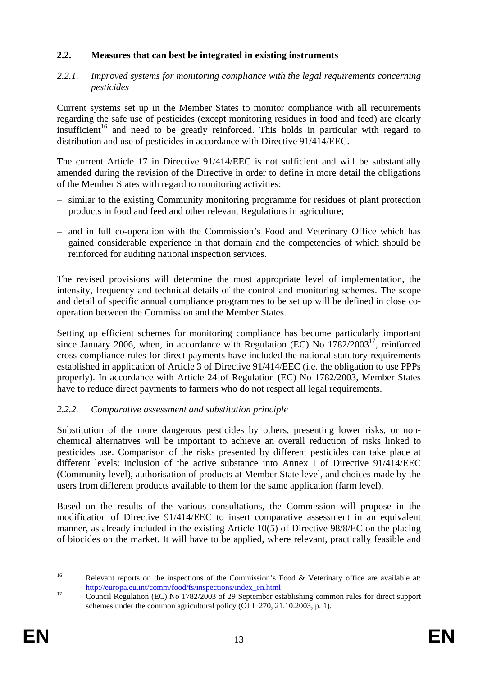### **2.2. Measures that can best be integrated in existing instruments**

#### *2.2.1. Improved systems for monitoring compliance with the legal requirements concerning pesticides*

Current systems set up in the Member States to monitor compliance with all requirements regarding the safe use of pesticides (except monitoring residues in food and feed) are clearly insufficient<sup>16</sup> and need to be greatly reinforced. This holds in particular with regard to distribution and use of pesticides in accordance with Directive 91/414/EEC.

The current Article 17 in Directive 91/414/EEC is not sufficient and will be substantially amended during the revision of the Directive in order to define in more detail the obligations of the Member States with regard to monitoring activities:

- similar to the existing Community monitoring programme for residues of plant protection products in food and feed and other relevant Regulations in agriculture;
- and in full co-operation with the Commission's Food and Veterinary Office which has gained considerable experience in that domain and the competencies of which should be reinforced for auditing national inspection services.

The revised provisions will determine the most appropriate level of implementation, the intensity, frequency and technical details of the control and monitoring schemes. The scope and detail of specific annual compliance programmes to be set up will be defined in close cooperation between the Commission and the Member States.

Setting up efficient schemes for monitoring compliance has become particularly important since January 2006, when, in accordance with Regulation (EC) No  $1782/2003^{17}$ , reinforced cross-compliance rules for direct payments have included the national statutory requirements established in application of Article 3 of Directive 91/414/EEC (i.e. the obligation to use PPPs properly). In accordance with Article 24 of Regulation (EC) No 1782/2003, Member States have to reduce direct payments to farmers who do not respect all legal requirements.

### *2.2.2. Comparative assessment and substitution principle*

Substitution of the more dangerous pesticides by others, presenting lower risks, or nonchemical alternatives will be important to achieve an overall reduction of risks linked to pesticides use. Comparison of the risks presented by different pesticides can take place at different levels: inclusion of the active substance into Annex I of Directive 91/414/EEC (Community level), authorisation of products at Member State level, and choices made by the users from different products available to them for the same application (farm level).

Based on the results of the various consultations, the Commission will propose in the modification of Directive 91/414/EEC to insert comparative assessment in an equivalent manner, as already included in the existing Article 10(5) of Directive 98/8/EC on the placing of biocides on the market. It will have to be applied, where relevant, practically feasible and

<u>.</u>

<sup>&</sup>lt;sup>16</sup> Relevant reports on the inspections of the Commission's Food & Veterinary office are available at: http://europa.eu.int/comm/food/fs/inspections/index\_en.html<br>
Council Regulation (EC) No 1782/2003 of 29 September establishing common rules for direct support

schemes under the common agricultural policy (OJ L 270, 21.10.2003, p. 1).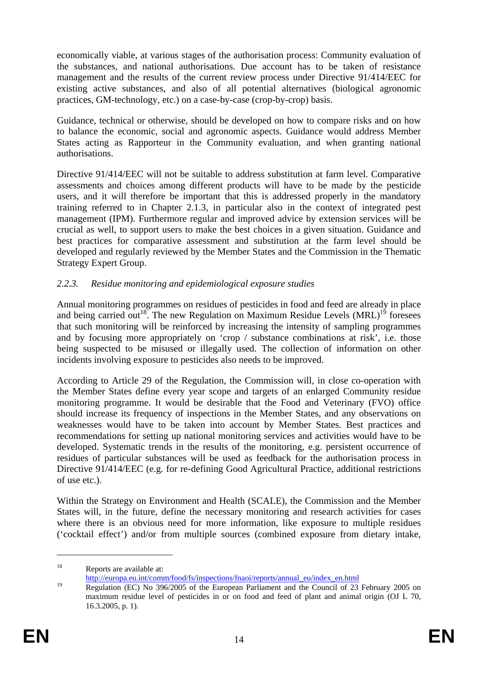economically viable, at various stages of the authorisation process: Community evaluation of the substances, and national authorisations. Due account has to be taken of resistance management and the results of the current review process under Directive 91/414/EEC for existing active substances, and also of all potential alternatives (biological agronomic practices, GM-technology, etc.) on a case-by-case (crop-by-crop) basis.

Guidance, technical or otherwise, should be developed on how to compare risks and on how to balance the economic, social and agronomic aspects. Guidance would address Member States acting as Rapporteur in the Community evaluation, and when granting national authorisations.

Directive 91/414/EEC will not be suitable to address substitution at farm level. Comparative assessments and choices among different products will have to be made by the pesticide users, and it will therefore be important that this is addressed properly in the mandatory training referred to in Chapter 2.1.3, in particular also in the context of integrated pest management (IPM). Furthermore regular and improved advice by extension services will be crucial as well, to support users to make the best choices in a given situation. Guidance and best practices for comparative assessment and substitution at the farm level should be developed and regularly reviewed by the Member States and the Commission in the Thematic Strategy Expert Group.

### *2.2.3. Residue monitoring and epidemiological exposure studies*

Annual monitoring programmes on residues of pesticides in food and feed are already in place and being carried out<sup>18</sup>. The new Regulation on Maximum Residue Levels  $(MRL)^{19}$  foresees that such monitoring will be reinforced by increasing the intensity of sampling programmes and by focusing more appropriately on 'crop / substance combinations at risk', i.e. those being suspected to be misused or illegally used. The collection of information on other incidents involving exposure to pesticides also needs to be improved.

According to Article 29 of the Regulation, the Commission will, in close co-operation with the Member States define every year scope and targets of an enlarged Community residue monitoring programme. It would be desirable that the Food and Veterinary (FVO) office should increase its frequency of inspections in the Member States, and any observations on weaknesses would have to be taken into account by Member States. Best practices and recommendations for setting up national monitoring services and activities would have to be developed. Systematic trends in the results of the monitoring, e.g. persistent occurrence of residues of particular substances will be used as feedback for the authorisation process in Directive 91/414/EEC (e.g. for re-defining Good Agricultural Practice, additional restrictions of use etc.).

Within the Strategy on Environment and Health (SCALE), the Commission and the Member States will, in the future, define the necessary monitoring and research activities for cases where there is an obvious need for more information, like exposure to multiple residues ('cocktail effect') and/or from multiple sources (combined exposure from dietary intake,

<sup>&</sup>lt;sup>18</sup> Reports are available at:

http://europa.eu.int/comm/food/fs/inspections/fnaoi/reports/annual\_eu/index\_en.html

<sup>&</sup>lt;sup>19</sup> Regulation (EC) No 396/2005 of the European Parliament and the Council of 23 February 2005 on maximum residue level of pesticides in or on food and feed of plant and animal origin (OJ L 70, 16.3.2005, p. 1).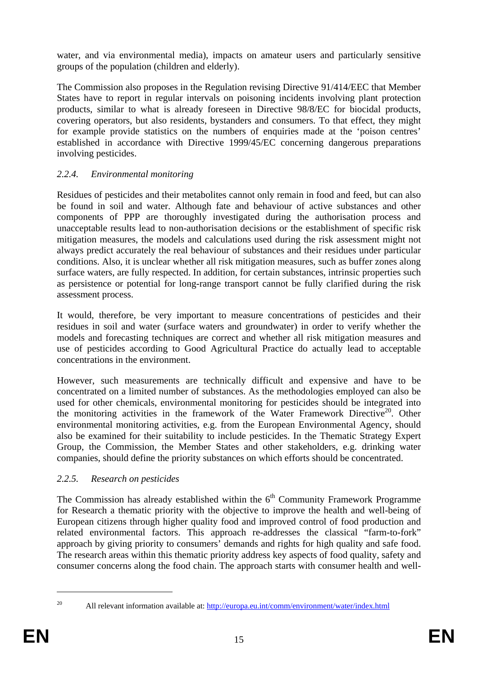water, and via environmental media), impacts on amateur users and particularly sensitive groups of the population (children and elderly).

The Commission also proposes in the Regulation revising Directive 91/414/EEC that Member States have to report in regular intervals on poisoning incidents involving plant protection products, similar to what is already foreseen in Directive 98/8/EC for biocidal products, covering operators, but also residents, bystanders and consumers. To that effect, they might for example provide statistics on the numbers of enquiries made at the 'poison centres' established in accordance with Directive 1999/45/EC concerning dangerous preparations involving pesticides.

# *2.2.4. Environmental monitoring*

Residues of pesticides and their metabolites cannot only remain in food and feed, but can also be found in soil and water. Although fate and behaviour of active substances and other components of PPP are thoroughly investigated during the authorisation process and unacceptable results lead to non-authorisation decisions or the establishment of specific risk mitigation measures, the models and calculations used during the risk assessment might not always predict accurately the real behaviour of substances and their residues under particular conditions. Also, it is unclear whether all risk mitigation measures, such as buffer zones along surface waters, are fully respected. In addition, for certain substances, intrinsic properties such as persistence or potential for long-range transport cannot be fully clarified during the risk assessment process.

It would, therefore, be very important to measure concentrations of pesticides and their residues in soil and water (surface waters and groundwater) in order to verify whether the models and forecasting techniques are correct and whether all risk mitigation measures and use of pesticides according to Good Agricultural Practice do actually lead to acceptable concentrations in the environment.

However, such measurements are technically difficult and expensive and have to be concentrated on a limited number of substances. As the methodologies employed can also be used for other chemicals, environmental monitoring for pesticides should be integrated into the monitoring activities in the framework of the Water Framework Directive<sup>20</sup>. Other environmental monitoring activities, e.g. from the European Environmental Agency, should also be examined for their suitability to include pesticides. In the Thematic Strategy Expert Group, the Commission, the Member States and other stakeholders, e.g. drinking water companies, should define the priority substances on which efforts should be concentrated.

# *2.2.5. Research on pesticides*

The Commission has already established within the  $6<sup>th</sup>$  Community Framework Programme for Research a thematic priority with the objective to improve the health and well-being of European citizens through higher quality food and improved control of food production and related environmental factors. This approach re-addresses the classical "farm-to-fork" approach by giving priority to consumers' demands and rights for high quality and safe food. The research areas within this thematic priority address key aspects of food quality, safety and consumer concerns along the food chain. The approach starts with consumer health and well-

<sup>1</sup> 

<sup>&</sup>lt;sup>20</sup> All relevant information available at: http://europa.eu.int/comm/environment/water/index.html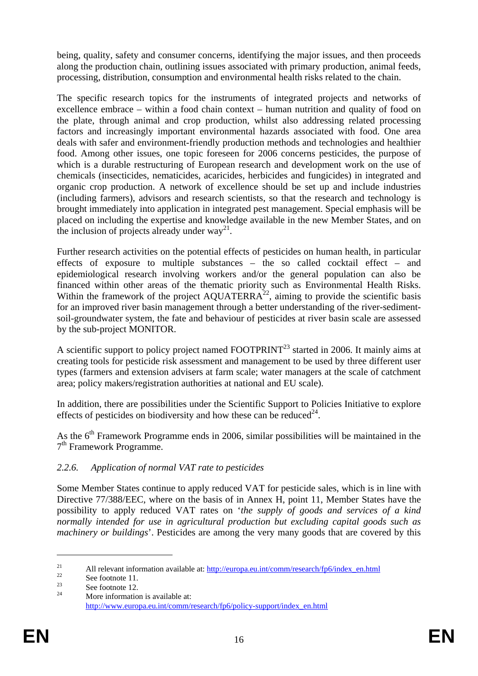being, quality, safety and consumer concerns, identifying the major issues, and then proceeds along the production chain, outlining issues associated with primary production, animal feeds, processing, distribution, consumption and environmental health risks related to the chain.

The specific research topics for the instruments of integrated projects and networks of excellence embrace – within a food chain context – human nutrition and quality of food on the plate, through animal and crop production, whilst also addressing related processing factors and increasingly important environmental hazards associated with food. One area deals with safer and environment-friendly production methods and technologies and healthier food. Among other issues, one topic foreseen for 2006 concerns pesticides, the purpose of which is a durable restructuring of European research and development work on the use of chemicals (insecticides, nematicides, acaricides, herbicides and fungicides) in integrated and organic crop production. A network of excellence should be set up and include industries (including farmers), advisors and research scientists, so that the research and technology is brought immediately into application in integrated pest management. Special emphasis will be placed on including the expertise and knowledge available in the new Member States, and on the inclusion of projects already under  $way^{21}$ .

Further research activities on the potential effects of pesticides on human health, in particular effects of exposure to multiple substances – the so called cocktail effect – and epidemiological research involving workers and/or the general population can also be financed within other areas of the thematic priority such as Environmental Health Risks. Within the framework of the project AQUATERRA<sup>22</sup>, aiming to provide the scientific basis for an improved river basin management through a better understanding of the river-sedimentsoil-groundwater system, the fate and behaviour of pesticides at river basin scale are assessed by the sub-project MONITOR.

A scientific support to policy project named FOOTPRINT<sup>23</sup> started in 2006. It mainly aims at creating tools for pesticide risk assessment and management to be used by three different user types (farmers and extension advisers at farm scale; water managers at the scale of catchment area; policy makers/registration authorities at national and EU scale).

In addition, there are possibilities under the Scientific Support to Policies Initiative to explore effects of pesticides on biodiversity and how these can be reduced<sup>24</sup>.

As the  $6<sup>th</sup>$  Framework Programme ends in 2006, similar possibilities will be maintained in the 7<sup>th</sup> Framework Programme.

### *2.2.6. Application of normal VAT rate to pesticides*

Some Member States continue to apply reduced VAT for pesticide sales, which is in line with Directive 77/388/EEC, where on the basis of in Annex H, point 11, Member States have the possibility to apply reduced VAT rates on '*the supply of goods and services of a kind normally intended for use in agricultural production but excluding capital goods such as machinery or buildings*'. Pesticides are among the very many goods that are covered by this

<sup>&</sup>lt;sup>21</sup> All relevant information available at:  $\frac{http://europa.eu.int/comm/research/fp6/index_en.html}{http://europa.eu.int/comm/research/fp6/index_en.html}$ 

 $\frac{23}{24}$  See footnote 12.

More information is available at: http://www.europa.eu.int/comm/research/fp6/policy-support/index\_en.html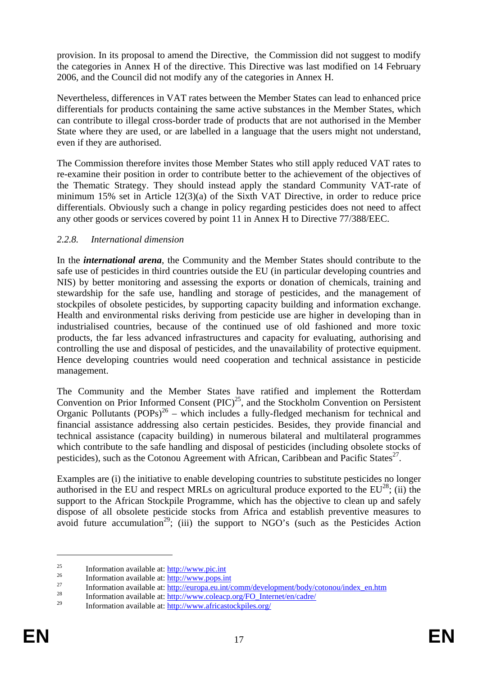provision. In its proposal to amend the Directive, the Commission did not suggest to modify the categories in Annex H of the directive. This Directive was last modified on 14 February 2006, and the Council did not modify any of the categories in Annex H.

Nevertheless, differences in VAT rates between the Member States can lead to enhanced price differentials for products containing the same active substances in the Member States, which can contribute to illegal cross-border trade of products that are not authorised in the Member State where they are used, or are labelled in a language that the users might not understand, even if they are authorised.

The Commission therefore invites those Member States who still apply reduced VAT rates to re-examine their position in order to contribute better to the achievement of the objectives of the Thematic Strategy. They should instead apply the standard Community VAT-rate of minimum 15% set in Article 12(3)(a) of the Sixth VAT Directive, in order to reduce price differentials. Obviously such a change in policy regarding pesticides does not need to affect any other goods or services covered by point 11 in Annex H to Directive 77/388/EEC.

### *2.2.8. International dimension*

In the *international arena*, the Community and the Member States should contribute to the safe use of pesticides in third countries outside the EU (in particular developing countries and NIS) by better monitoring and assessing the exports or donation of chemicals, training and stewardship for the safe use, handling and storage of pesticides, and the management of stockpiles of obsolete pesticides, by supporting capacity building and information exchange. Health and environmental risks deriving from pesticide use are higher in developing than in industrialised countries, because of the continued use of old fashioned and more toxic products, the far less advanced infrastructures and capacity for evaluating, authorising and controlling the use and disposal of pesticides, and the unavailability of protective equipment. Hence developing countries would need cooperation and technical assistance in pesticide management.

The Community and the Member States have ratified and implement the Rotterdam Convention on Prior Informed Consent  $(PIC)^{25}$ , and the Stockholm Convention on Persistent Organic Pollutants (POPs)<sup>26</sup> – which includes a fully-fledged mechanism for technical and financial assistance addressing also certain pesticides. Besides, they provide financial and technical assistance (capacity building) in numerous bilateral and multilateral programmes which contribute to the safe handling and disposal of pesticides (including obsolete stocks of pesticides), such as the Cotonou Agreement with African, Caribbean and Pacific States<sup>27</sup>.

Examples are (i) the initiative to enable developing countries to substitute pesticides no longer authorised in the EU and respect MRLs on agricultural produce exported to the  $EU^{28}$ ; (ii) the support to the African Stockpile Programme, which has the objective to clean up and safely dispose of all obsolete pesticide stocks from Africa and establish preventive measures to avoid future accumulation<sup>29</sup>; (iii) the support to NGO's (such as the Pesticides Action

<sup>&</sup>lt;sup>25</sup><br>
Information available at: <u>http://www.pic.int</u><br>
<sup>26</sup><br>
Information available at: <u>http://www.pops.int</u><br>
<sup>27</sup><br>
Information available at: <u>http://europa.eu.int/comm/development/body/cotonou/index en.htm</u><br>
<sup>28</sup><br>
Informa

<sup>29</sup> Information available at: http://www.africastockpiles.org/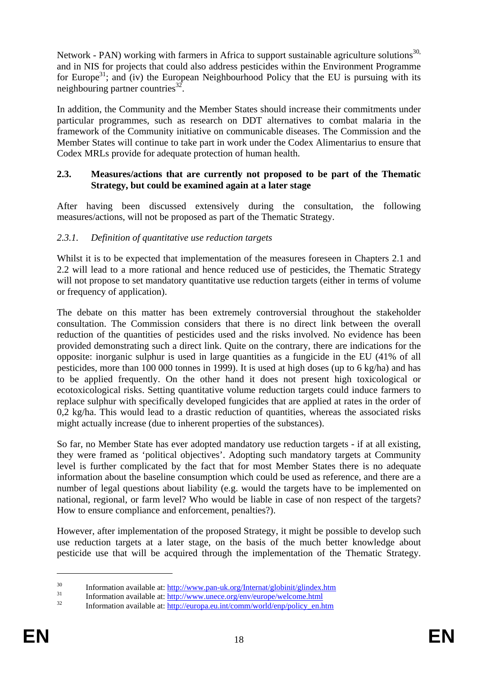Network - PAN) working with farmers in Africa to support sustainable agriculture solutions<sup>30,</sup> and in NIS for projects that could also address pesticides within the Environment Programme for Europe<sup>31</sup>; and (iv) the European Neighbourhood Policy that the EU is pursuing with its neighbouring partner countries $^{32}$ .

In addition, the Community and the Member States should increase their commitments under particular programmes, such as research on DDT alternatives to combat malaria in the framework of the Community initiative on communicable diseases. The Commission and the Member States will continue to take part in work under the Codex Alimentarius to ensure that Codex MRLs provide for adequate protection of human health.

#### **2.3. Measures/actions that are currently not proposed to be part of the Thematic Strategy, but could be examined again at a later stage**

After having been discussed extensively during the consultation, the following measures/actions, will not be proposed as part of the Thematic Strategy.

### *2.3.1. Definition of quantitative use reduction targets*

Whilst it is to be expected that implementation of the measures foreseen in Chapters 2.1 and 2.2 will lead to a more rational and hence reduced use of pesticides, the Thematic Strategy will not propose to set mandatory quantitative use reduction targets (either in terms of volume or frequency of application).

The debate on this matter has been extremely controversial throughout the stakeholder consultation. The Commission considers that there is no direct link between the overall reduction of the quantities of pesticides used and the risks involved. No evidence has been provided demonstrating such a direct link. Quite on the contrary, there are indications for the opposite: inorganic sulphur is used in large quantities as a fungicide in the EU (41% of all pesticides, more than 100 000 tonnes in 1999). It is used at high doses (up to 6 kg/ha) and has to be applied frequently. On the other hand it does not present high toxicological or ecotoxicological risks. Setting quantitative volume reduction targets could induce farmers to replace sulphur with specifically developed fungicides that are applied at rates in the order of 0,2 kg/ha. This would lead to a drastic reduction of quantities, whereas the associated risks might actually increase (due to inherent properties of the substances).

So far, no Member State has ever adopted mandatory use reduction targets - if at all existing, they were framed as 'political objectives'. Adopting such mandatory targets at Community level is further complicated by the fact that for most Member States there is no adequate information about the baseline consumption which could be used as reference, and there are a number of legal questions about liability (e.g. would the targets have to be implemented on national, regional, or farm level? Who would be liable in case of non respect of the targets? How to ensure compliance and enforcement, penalties?).

However, after implementation of the proposed Strategy, it might be possible to develop such use reduction targets at a later stage, on the basis of the much better knowledge about pesticide use that will be acquired through the implementation of the Thematic Strategy.

<sup>&</sup>lt;sup>30</sup> Information available at:  $\frac{http://www.pan-uk.org/Internet/globinit/glindex.htm}{http://www.unece.org/en/curve/eucome.htm1}$ <br><sup>31</sup> Information available at:  $\frac{http://www.unece.org/en/curve/eucome.html}{http://europa.eu.int/comm/world/en/policy en.htm1}$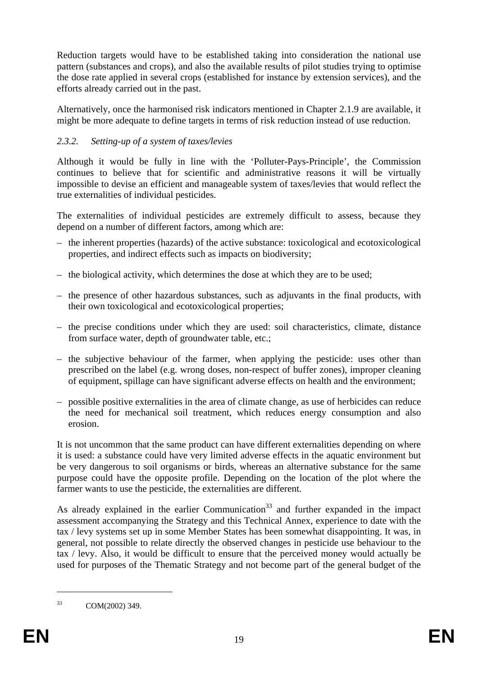Reduction targets would have to be established taking into consideration the national use pattern (substances and crops), and also the available results of pilot studies trying to optimise the dose rate applied in several crops (established for instance by extension services), and the efforts already carried out in the past.

Alternatively, once the harmonised risk indicators mentioned in Chapter 2.1.9 are available, it might be more adequate to define targets in terms of risk reduction instead of use reduction.

# *2.3.2. Setting-up of a system of taxes/levies*

Although it would be fully in line with the 'Polluter-Pays-Principle', the Commission continues to believe that for scientific and administrative reasons it will be virtually impossible to devise an efficient and manageable system of taxes/levies that would reflect the true externalities of individual pesticides.

The externalities of individual pesticides are extremely difficult to assess, because they depend on a number of different factors, among which are:

- the inherent properties (hazards) of the active substance: toxicological and ecotoxicological properties, and indirect effects such as impacts on biodiversity;
- the biological activity, which determines the dose at which they are to be used;
- the presence of other hazardous substances, such as adjuvants in the final products, with their own toxicological and ecotoxicological properties;
- the precise conditions under which they are used: soil characteristics, climate, distance from surface water, depth of groundwater table, etc.;
- the subjective behaviour of the farmer, when applying the pesticide: uses other than prescribed on the label (e.g. wrong doses, non-respect of buffer zones), improper cleaning of equipment, spillage can have significant adverse effects on health and the environment;
- possible positive externalities in the area of climate change, as use of herbicides can reduce the need for mechanical soil treatment, which reduces energy consumption and also erosion.

It is not uncommon that the same product can have different externalities depending on where it is used: a substance could have very limited adverse effects in the aquatic environment but be very dangerous to soil organisms or birds, whereas an alternative substance for the same purpose could have the opposite profile. Depending on the location of the plot where the farmer wants to use the pesticide, the externalities are different.

As already explained in the earlier Communication<sup>33</sup> and further expanded in the impact assessment accompanying the Strategy and this Technical Annex, experience to date with the tax / levy systems set up in some Member States has been somewhat disappointing. It was, in general, not possible to relate directly the observed changes in pesticide use behaviour to the tax / levy. Also, it would be difficult to ensure that the perceived money would actually be used for purposes of the Thematic Strategy and not become part of the general budget of the

<sup>33</sup> COM(2002) 349.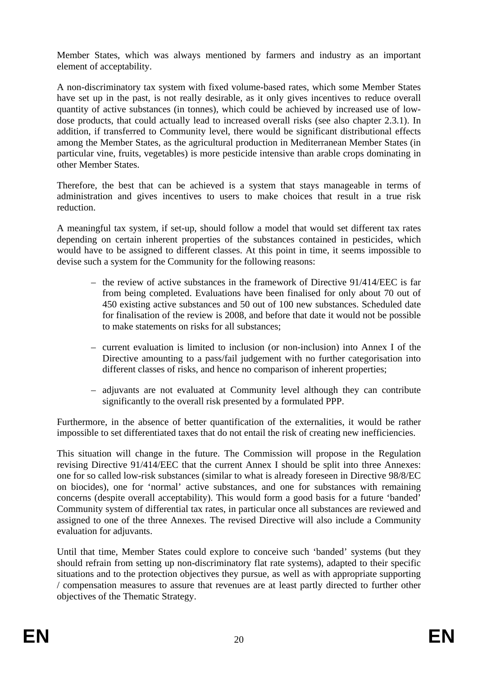Member States, which was always mentioned by farmers and industry as an important element of acceptability.

A non-discriminatory tax system with fixed volume-based rates, which some Member States have set up in the past, is not really desirable, as it only gives incentives to reduce overall quantity of active substances (in tonnes), which could be achieved by increased use of lowdose products, that could actually lead to increased overall risks (see also chapter 2.3.1). In addition, if transferred to Community level, there would be significant distributional effects among the Member States, as the agricultural production in Mediterranean Member States (in particular vine, fruits, vegetables) is more pesticide intensive than arable crops dominating in other Member States.

Therefore, the best that can be achieved is a system that stays manageable in terms of administration and gives incentives to users to make choices that result in a true risk reduction.

A meaningful tax system, if set-up, should follow a model that would set different tax rates depending on certain inherent properties of the substances contained in pesticides, which would have to be assigned to different classes. At this point in time, it seems impossible to devise such a system for the Community for the following reasons:

- the review of active substances in the framework of Directive 91/414/EEC is far from being completed. Evaluations have been finalised for only about 70 out of 450 existing active substances and 50 out of 100 new substances. Scheduled date for finalisation of the review is 2008, and before that date it would not be possible to make statements on risks for all substances;
- current evaluation is limited to inclusion (or non-inclusion) into Annex I of the Directive amounting to a pass/fail judgement with no further categorisation into different classes of risks, and hence no comparison of inherent properties;
- adjuvants are not evaluated at Community level although they can contribute significantly to the overall risk presented by a formulated PPP.

Furthermore, in the absence of better quantification of the externalities, it would be rather impossible to set differentiated taxes that do not entail the risk of creating new inefficiencies.

This situation will change in the future. The Commission will propose in the Regulation revising Directive 91/414/EEC that the current Annex I should be split into three Annexes: one for so called low-risk substances (similar to what is already foreseen in Directive 98/8/EC on biocides), one for 'normal' active substances, and one for substances with remaining concerns (despite overall acceptability). This would form a good basis for a future 'banded' Community system of differential tax rates, in particular once all substances are reviewed and assigned to one of the three Annexes. The revised Directive will also include a Community evaluation for adjuvants.

Until that time, Member States could explore to conceive such 'banded' systems (but they should refrain from setting up non-discriminatory flat rate systems), adapted to their specific situations and to the protection objectives they pursue, as well as with appropriate supporting / compensation measures to assure that revenues are at least partly directed to further other objectives of the Thematic Strategy.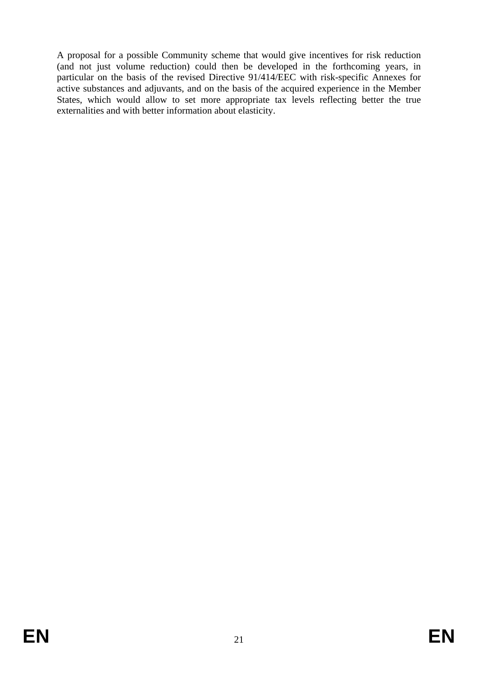A proposal for a possible Community scheme that would give incentives for risk reduction (and not just volume reduction) could then be developed in the forthcoming years, in particular on the basis of the revised Directive 91/414/EEC with risk-specific Annexes for active substances and adjuvants, and on the basis of the acquired experience in the Member States, which would allow to set more appropriate tax levels reflecting better the true externalities and with better information about elasticity.